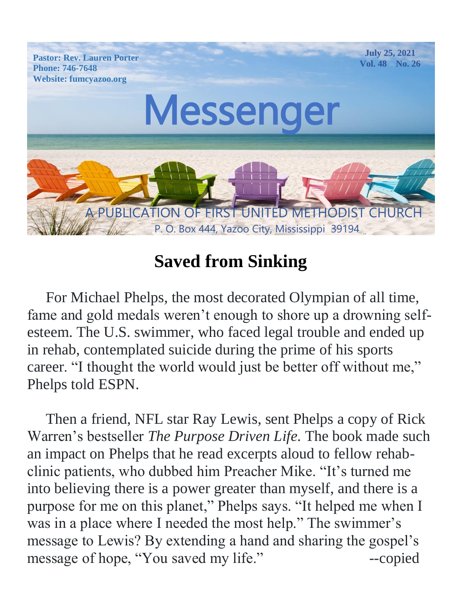

## **Saved from Sinking**

 For Michael Phelps, the most decorated Olympian of all time, fame and gold medals weren't enough to shore up a drowning selfesteem. The U.S. swimmer, who faced legal trouble and ended up in rehab, contemplated suicide during the prime of his sports career. "I thought the world would just be better off without me," Phelps told ESPN.

 Then a friend, NFL star Ray Lewis, sent Phelps a copy of Rick Warren's bestseller *The Purpose Driven Life.* The book made such an impact on Phelps that he read excerpts aloud to fellow rehabclinic patients, who dubbed him Preacher Mike. "It's turned me into believing there is a power greater than myself, and there is a purpose for me on this planet," Phelps says. "It helped me when I was in a place where I needed the most help." The swimmer's message to Lewis? By extending a hand and sharing the gospel's message of hope, "You saved my life." --copied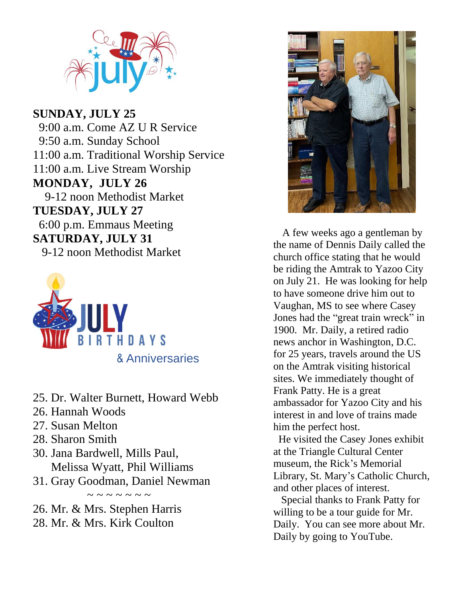

 $P_{\text{P}}$ 9-12 noon Methodist Market  $TUESDAY, JULY$  27 **SUNDAY, JULY 25** 9:00 a.m. Come AZ U R Service 9:50 a.m. Sunday School 11:00 a.m. Traditional Worship Service 11:00 a.m. Live Stream Worship **MONDAY, JULY 26** 6:00 p.m. Emmaus Meeting **SATURDAY, JULY 31** 9-12 noon Methodist Market



- 25. Dr. Walter Burnett, Howard Webb
- 26. Hannah Woods
- 27. Susan Melton
- 28. Sharon Smith
- 30. Jana Bardwell, Mills Paul, Melissa Wyatt, Phil Williams
- 31. Gray Goodman, Daniel Newman

 $\sim$   $\sim$   $\sim$   $\sim$   $\sim$   $\sim$ 

26. Mr. & Mrs. Stephen Harris 28. Mr. & Mrs. Kirk Coulton



 A few weeks ago a gentleman by the name of Dennis Daily called the church office stating that he would be riding the Amtrak to Yazoo City on July 21. He was looking for help to have someone drive him out to Vaughan, MS to see where Casey Jones had the "great train wreck" in 1900. Mr. Daily, a retired radio news anchor in Washington, D.C. for 25 years, travels around the US on the Amtrak visiting historical sites. We immediately thought of Frank Patty. He is a great ambassador for Yazoo City and his interest in and love of trains made him the perfect host.

 He visited the Casey Jones exhibit at the Triangle Cultural Center museum, the Rick's Memorial Library, St. Mary's Catholic Church, and other places of interest.

 Special thanks to Frank Patty for willing to be a tour guide for Mr. Daily. You can see more about Mr. Daily by going to YouTube.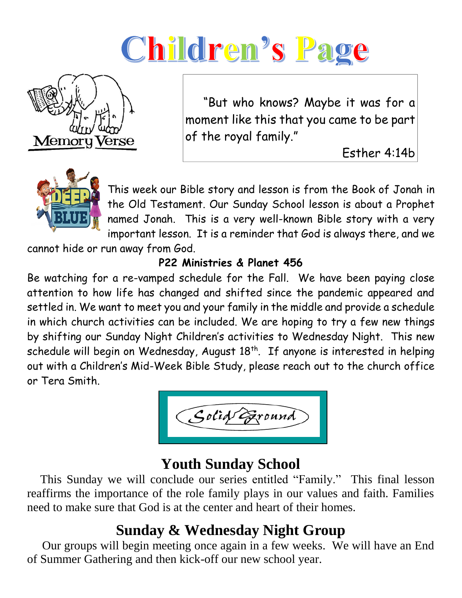# Children's Page



 "But who knows? Maybe it was for a moment like this that you came to be part of the royal family."

Esther 4:14b



This week our Bible story and lesson is from the Book of Jonah in the Old Testament. Our Sunday School lesson is about a Prophet named Jonah. This is a very well-known Bible story with a very important lesson. It is a reminder that God is always there, and we

cannot hide or run away from God.

#### **P22 Ministries & Planet 456**

Be watching for a re-vamped schedule for the Fall. We have been paying close attention to how life has changed and shifted since the pandemic appeared and settled in. We want to meet you and your family in the middle and provide a schedule in which church activities can be included. We are hoping to try a few new things by shifting our Sunday Night Children's activities to Wednesday Night. This new schedule will begin on Wednesday, August 18<sup>th</sup>. If anyone is interested in helping out with a Children's Mid-Week Bible Study, please reach out to the church office or Tera Smith.

Solid Exound

### **Youth Sunday School**

 This Sunday we will conclude our series entitled "Family." This final lesson reaffirms the importance of the role family plays in our values and faith. Families need to make sure that God is at the center and heart of their homes.

## **Sunday & Wednesday Night Group**

 Our groups will begin meeting once again in a few weeks. We will have an End of Summer Gathering and then kick-off our new school year.